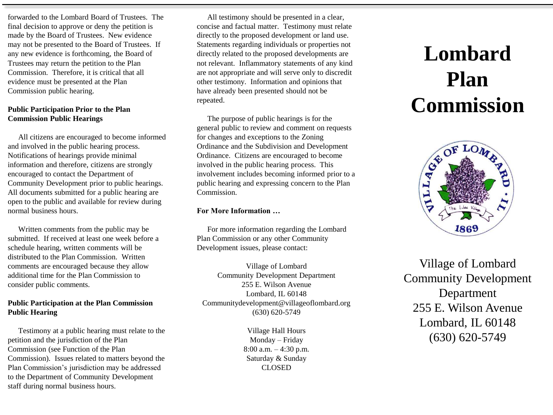forwarded to the Lombard Board of Trustees. The final decision to approve or deny the petition is made by the Board of Trustees. New evidence may not be presented to the Board of Trustees. If any new evidence is forthcoming, the Board of Trustees may return the petition to the Plan Commission. Therefore, it is critical that all evidence must be presented at the Plan Commission public hearing.

### **Public Participation Prior to the Plan Commission Public Hearings**

All citizens are encouraged to become informed and involved in the public hearing process. Notifications of hearings provide minimal information and therefore, citizens are strongly encouraged to contact the Department of Community Development prior to public hearings. All documents submitted for a public hearing are open to the public and available for review during normal business hours.

Written comments from the public may be submitted. If received at least one week before a schedule hearing, written comments will be distributed to the Plan Commission. Written comments are encouraged because they allow additional time for the Plan Commission to consider public comments.

# **Public Participation at the Plan Commission Public Hearing**

Testimony at a public hearing must relate to the petition and the jurisdiction of the Plan Commission (see Function of the Plan Commission). Issues related to matters beyond the Plan Commission's jurisdiction may be addressed to the Department of Community Development staff during normal business hours.

All testimony should be presented in a clear, concise and factual matter. Testimony must relate directly to the proposed development or land use. Statements regarding individuals or properties not directly related to the proposed developments are not relevant. Inflammatory statements of any kind are not appropriate and will serve only to discredit other testimony. Information and opinions that have already been presented should not be repeated.

The purpose of public hearings is for the general public to review and comment on requests for changes and exceptions to the Zoning Ordinance and the Subdivision and Development Ordinance. Citizens are encouraged to become involved in the public hearing process. This involvement includes becoming informed prior to a public hearing and expressing concern to the Plan Commission.

## **For More Information …**

For more information regarding the Lombard Plan Commission or any other Community Development issues, please contact:

Village of Lombard Community Development Department 255 E. Wilson Avenue Lombard, IL 60148 Communitydevelopment@villageoflombard.org (630) 620-5749

> Village Hall Hours Monday – Friday 8:00 a.m. – 4:30 p.m. Saturday & Sunday CLOSED

# **Lombard Plan Commission**



Village of Lombard Community Development Department 255 E. Wilson Avenue Lombard, IL 60148 (630) 620-5749